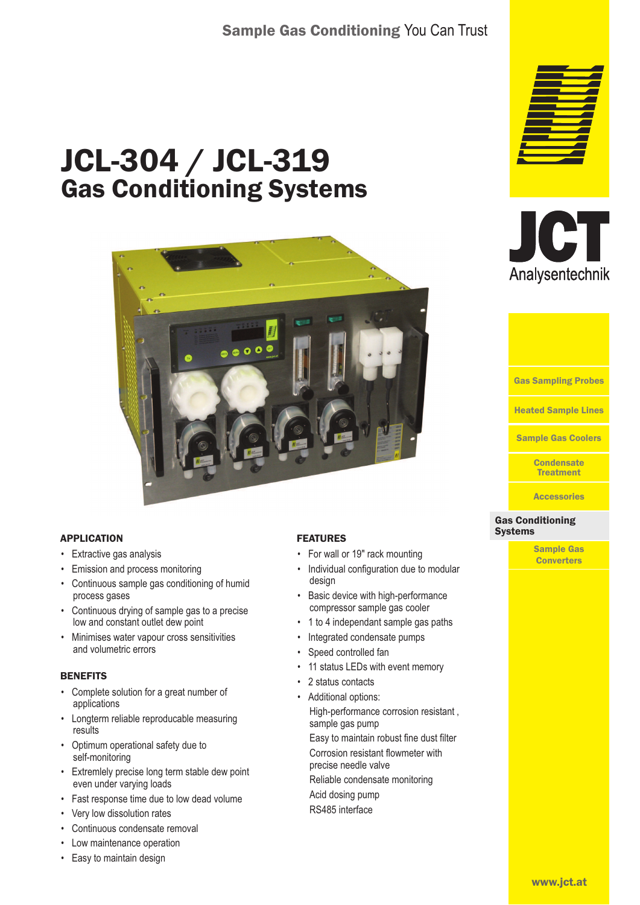# Sample Gas Conditioning You Can Trust

# JCL-304 / JCL-319 Gas Conditioning Systems



## APPLICATION

- Extractive gas analysis
- Emission and process monitoring
- Continuous sample gas conditioning of humid process gases
- Continuous drying of sample gas to a precise low and constant outlet dew point
- Minimises water vapour cross sensitivities and volumetric errors

#### **BENEFITS**

- Complete solution for a great number of applications
- Longterm reliable reproducable measuring results
- Optimum operational safety due to self-monitoring
- Extremlely precise long term stable dew point even under varying loads
- Fast response time due to low dead volume
- Very low dissolution rates
- Continuous condensate removal
- Low maintenance operation
- Easy to maintain design

## FEATURES

- For wall or 19" rack mounting
- Individual configuration due to modular design
- Basic device with high-performance compressor sample gas cooler
- 1 to 4 independant sample gas paths
- Integrated condensate pumps
- Speed controlled fan

sample gas pump

- 11 status LEDs with event memory
- 2 status contacts
- Additional options: High-performance corrosion resistant,

Easy to maintain robust fine dust filter Corrosion resistant flowmeter with precise needle valve

Reliable condensate monitoring

Acid dosing pump RS485 interface





Heated Sample Lines Gas Sampling Probes Sample Gas Coolers

> **Condensate** Treatment

**Accessories** 

#### Gas Conditioning Gas Conditioning Systems **Systems**

Sample Gas **Converters**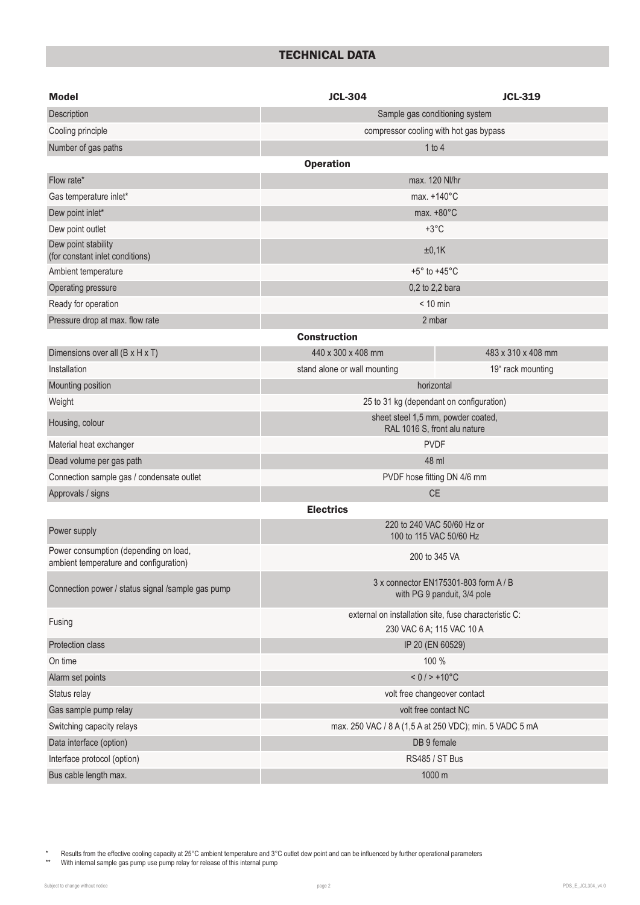# TECHNICAL DATA

| <b>Model</b>                                                                    | <b>JCL-304</b><br><b>JCL-319</b>                                                   |                    |  |  |  |
|---------------------------------------------------------------------------------|------------------------------------------------------------------------------------|--------------------|--|--|--|
| Description                                                                     | Sample gas conditioning system                                                     |                    |  |  |  |
| Cooling principle                                                               | compressor cooling with hot gas bypass                                             |                    |  |  |  |
| Number of gas paths                                                             | 1 to 4                                                                             |                    |  |  |  |
|                                                                                 | <b>Operation</b>                                                                   |                    |  |  |  |
| Flow rate*                                                                      | max. 120 Nl/hr                                                                     |                    |  |  |  |
| Gas temperature inlet*                                                          | max. $+140^{\circ}$ C                                                              |                    |  |  |  |
| Dew point inlet*                                                                | max. $+80^{\circ}$ C                                                               |                    |  |  |  |
| Dew point outlet                                                                | $+3^{\circ}$ C                                                                     |                    |  |  |  |
| Dew point stability<br>(for constant inlet conditions)                          | ±0,1K                                                                              |                    |  |  |  |
| Ambient temperature                                                             | $+5^{\circ}$ to $+45^{\circ}$ C                                                    |                    |  |  |  |
| Operating pressure                                                              | 0,2 to 2,2 bara                                                                    |                    |  |  |  |
| Ready for operation                                                             | $< 10$ min                                                                         |                    |  |  |  |
| Pressure drop at max. flow rate                                                 | 2 mbar                                                                             |                    |  |  |  |
|                                                                                 | <b>Construction</b>                                                                |                    |  |  |  |
| Dimensions over all (B x H x T)                                                 | 440 x 300 x 408 mm                                                                 | 483 x 310 x 408 mm |  |  |  |
| Installation                                                                    | stand alone or wall mounting                                                       | 19" rack mounting  |  |  |  |
| Mounting position                                                               | horizontal                                                                         |                    |  |  |  |
| Weight                                                                          | 25 to 31 kg (dependant on configuration)                                           |                    |  |  |  |
| Housing, colour                                                                 | sheet steel 1,5 mm, powder coated,<br>RAL 1016 S, front alu nature                 |                    |  |  |  |
| Material heat exchanger                                                         | <b>PVDF</b>                                                                        |                    |  |  |  |
| Dead volume per gas path                                                        | 48 ml                                                                              |                    |  |  |  |
| Connection sample gas / condensate outlet                                       | PVDF hose fitting DN 4/6 mm                                                        |                    |  |  |  |
| Approvals / signs                                                               | <b>CE</b>                                                                          |                    |  |  |  |
|                                                                                 | <b>Electrics</b>                                                                   |                    |  |  |  |
| Power supply                                                                    | 220 to 240 VAC 50/60 Hz or<br>100 to 115 VAC 50/60 Hz                              |                    |  |  |  |
| Power consumption (depending on load,<br>ambient temperature and configuration) | 200 to 345 VA                                                                      |                    |  |  |  |
| Connection power / status signal /sample gas pump                               | 3 x connector EN175301-803 form A / B<br>with PG 9 panduit, 3/4 pole               |                    |  |  |  |
| Fusing                                                                          | external on installation site, fuse characteristic C:<br>230 VAC 6 A; 115 VAC 10 A |                    |  |  |  |
| Protection class                                                                | IP 20 (EN 60529)                                                                   |                    |  |  |  |
| On time                                                                         | 100 %                                                                              |                    |  |  |  |
| Alarm set points                                                                | $< 0 / > +10^{\circ}C$                                                             |                    |  |  |  |
| Status relay                                                                    | volt free changeover contact                                                       |                    |  |  |  |
| Gas sample pump relay                                                           | volt free contact NC                                                               |                    |  |  |  |
| Switching capacity relays                                                       | max. 250 VAC / 8 A (1,5 A at 250 VDC); min. 5 VADC 5 mA                            |                    |  |  |  |
| Data interface (option)                                                         | DB 9 female                                                                        |                    |  |  |  |
| Interface protocol (option)                                                     | <b>RS485 / ST Bus</b>                                                              |                    |  |  |  |
| Bus cable length max.                                                           | 1000 m                                                                             |                    |  |  |  |

\* Results from the effective cooling capacity at 25°C ambient temperature and 3°C outlet dew point and can be influenced by further operational parameters

\*\* With internal sample gas pump use pump relay for release of this internal pump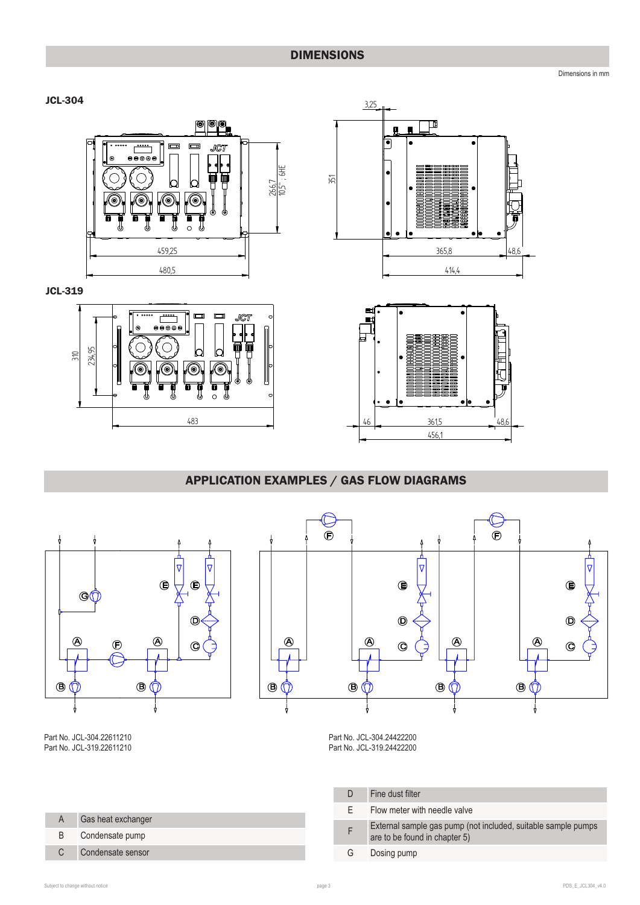# DIMENSIONS

Dimensions in mm



 $\overline{310}$ 234.95



483

 $\Box$  $\Box$ 

C b

(c

⊚

 $\overline{\overset{\cdots}{\theta\overset{\cdots}{\theta\overset{\cdots}{\theta\overset{\cdots}{\theta\overset{\cdots}{\theta\overset{\cdots}{\theta\overset{\cdots}{\theta\overset{\cdots}{\theta\overset{\cdots}{\theta\overset{\cdots}{\theta\overset{\cdots}{\theta\overset{\cdots}{\theta\overset{\cdots}{\theta\overset{\cdots}{\theta\overset{\cdots}{\theta\overset{\cdots}{\theta\overset{\cdots}{\theta\overset{\cdots}{\theta\overset{\cdots}{\theta\overset{\cdots}{\theta\overset{\cdots}{\theta\overset{\cdots}{\theta\overset{\cdots}{\theta\overset{\cdots}{\theta\$ C

**JCT** 



 $\bullet$ 舅 1888  $46$  $6 \frac{361.5}{48}$ ,6 456,1  1/-\*/.-..\*-.\*/'.\*-\*.2\*-3/ \*4%'%\*5'(1

# APPLICATION EXAMPLES / GAS FLOW DIAGRAMS



| A  | Gas heat exchanger |
|----|--------------------|
| B. | Condensate pump    |
| C. | Condensate sensor  |

Part No. JCL-319.24422200

|    | Fine dust filter                                                                               |
|----|------------------------------------------------------------------------------------------------|
| F. | Flow meter with needle valve                                                                   |
|    | External sample gas pump (not included, suitable sample pumps<br>are to be found in chapter 5) |
| G. | Dosing pump                                                                                    |